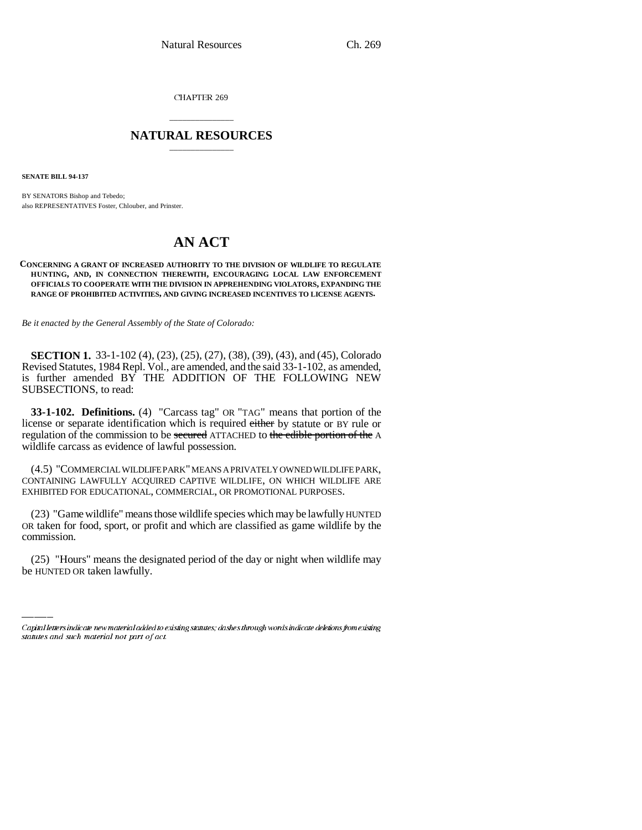CHAPTER 269

## \_\_\_\_\_\_\_\_\_\_\_\_\_\_\_ **NATURAL RESOURCES** \_\_\_\_\_\_\_\_\_\_\_\_\_\_\_

**SENATE BILL 94-137**

BY SENATORS Bishop and Tebedo; also REPRESENTATIVES Foster, Chlouber, and Prinster.

# **AN ACT**

#### **CONCERNING A GRANT OF INCREASED AUTHORITY TO THE DIVISION OF WILDLIFE TO REGULATE HUNTING, AND, IN CONNECTION THEREWITH, ENCOURAGING LOCAL LAW ENFORCEMENT OFFICIALS TO COOPERATE WITH THE DIVISION IN APPREHENDING VIOLATORS, EXPANDING THE RANGE OF PROHIBITED ACTIVITIES, AND GIVING INCREASED INCENTIVES TO LICENSE AGENTS.**

*Be it enacted by the General Assembly of the State of Colorado:*

**SECTION 1.** 33-1-102 (4), (23), (25), (27), (38), (39), (43), and (45), Colorado Revised Statutes, 1984 Repl. Vol., are amended, and the said 33-1-102, as amended, is further amended BY THE ADDITION OF THE FOLLOWING NEW SUBSECTIONS, to read:

**33-1-102. Definitions.** (4) "Carcass tag" OR "TAG" means that portion of the license or separate identification which is required either by statute or BY rule or regulation of the commission to be secured ATTACHED to the edible portion of the A wildlife carcass as evidence of lawful possession.

(4.5) "COMMERCIAL WILDLIFE PARK" MEANS A PRIVATELY OWNED WILDLIFE PARK, CONTAINING LAWFULLY ACQUIRED CAPTIVE WILDLIFE, ON WHICH WILDLIFE ARE EXHIBITED FOR EDUCATIONAL, COMMERCIAL, OR PROMOTIONAL PURPOSES.

commission. (23) "Game wildlife" means those wildlife species which may be lawfully HUNTED OR taken for food, sport, or profit and which are classified as game wildlife by the

(25) "Hours" means the designated period of the day or night when wildlife may be HUNTED OR taken lawfully.

Capital letters indicate new material added to existing statutes; dashes through words indicate deletions from existing statutes and such material not part of act.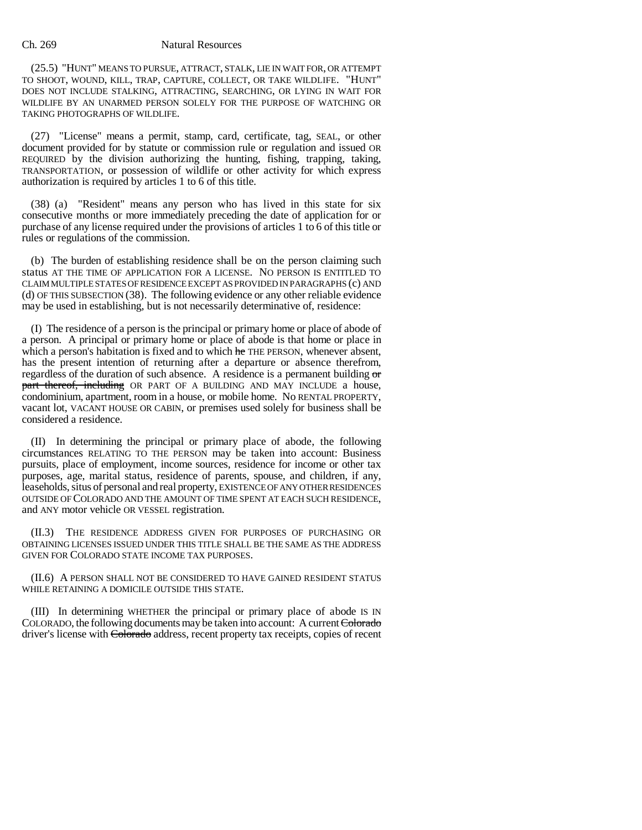(25.5) "HUNT" MEANS TO PURSUE, ATTRACT, STALK, LIE IN WAIT FOR, OR ATTEMPT TO SHOOT, WOUND, KILL, TRAP, CAPTURE, COLLECT, OR TAKE WILDLIFE. "HUNT" DOES NOT INCLUDE STALKING, ATTRACTING, SEARCHING, OR LYING IN WAIT FOR WILDLIFE BY AN UNARMED PERSON SOLELY FOR THE PURPOSE OF WATCHING OR TAKING PHOTOGRAPHS OF WILDLIFE.

(27) "License" means a permit, stamp, card, certificate, tag, SEAL, or other document provided for by statute or commission rule or regulation and issued OR REQUIRED by the division authorizing the hunting, fishing, trapping, taking, TRANSPORTATION, or possession of wildlife or other activity for which express authorization is required by articles 1 to 6 of this title.

(38) (a) "Resident" means any person who has lived in this state for six consecutive months or more immediately preceding the date of application for or purchase of any license required under the provisions of articles 1 to 6 of this title or rules or regulations of the commission.

(b) The burden of establishing residence shall be on the person claiming such status AT THE TIME OF APPLICATION FOR A LICENSE. NO PERSON IS ENTITLED TO CLAIM MULTIPLE STATES OF RESIDENCE EXCEPT AS PROVIDED IN PARAGRAPHS (c) AND (d) OF THIS SUBSECTION (38). The following evidence or any other reliable evidence may be used in establishing, but is not necessarily determinative of, residence:

(I) The residence of a person is the principal or primary home or place of abode of a person. A principal or primary home or place of abode is that home or place in which a person's habitation is fixed and to which he THE PERSON, whenever absent, has the present intention of returning after a departure or absence therefrom, regardless of the duration of such absence. A residence is a permanent building  $\sigma$ part thereof, including OR PART OF A BUILDING AND MAY INCLUDE a house, condominium, apartment, room in a house, or mobile home. No RENTAL PROPERTY, vacant lot, VACANT HOUSE OR CABIN, or premises used solely for business shall be considered a residence.

(II) In determining the principal or primary place of abode, the following circumstances RELATING TO THE PERSON may be taken into account: Business pursuits, place of employment, income sources, residence for income or other tax purposes, age, marital status, residence of parents, spouse, and children, if any, leaseholds, situs of personal and real property, EXISTENCE OF ANY OTHER RESIDENCES OUTSIDE OF COLORADO AND THE AMOUNT OF TIME SPENT AT EACH SUCH RESIDENCE, and ANY motor vehicle OR VESSEL registration.

(II.3) THE RESIDENCE ADDRESS GIVEN FOR PURPOSES OF PURCHASING OR OBTAINING LICENSES ISSUED UNDER THIS TITLE SHALL BE THE SAME AS THE ADDRESS GIVEN FOR COLORADO STATE INCOME TAX PURPOSES.

(II.6) A PERSON SHALL NOT BE CONSIDERED TO HAVE GAINED RESIDENT STATUS WHILE RETAINING A DOMICILE OUTSIDE THIS STATE.

(III) In determining WHETHER the principal or primary place of abode IS IN COLORADO, the following documents may be taken into account: A current Colorado driver's license with Colorado address, recent property tax receipts, copies of recent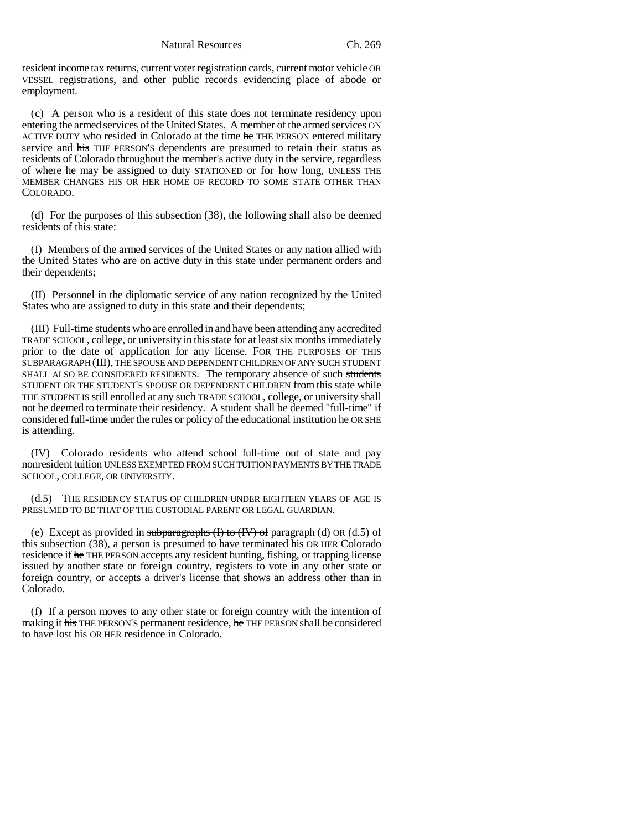resident income tax returns, current voter registration cards, current motor vehicle OR VESSEL registrations, and other public records evidencing place of abode or employment.

(c) A person who is a resident of this state does not terminate residency upon entering the armed services of the United States. A member of the armed services ON ACTIVE DUTY who resided in Colorado at the time he THE PERSON entered military service and his THE PERSON'S dependents are presumed to retain their status as residents of Colorado throughout the member's active duty in the service, regardless of where he may be assigned to duty STATIONED or for how long, UNLESS THE MEMBER CHANGES HIS OR HER HOME OF RECORD TO SOME STATE OTHER THAN COLORADO.

(d) For the purposes of this subsection (38), the following shall also be deemed residents of this state:

(I) Members of the armed services of the United States or any nation allied with the United States who are on active duty in this state under permanent orders and their dependents;

(II) Personnel in the diplomatic service of any nation recognized by the United States who are assigned to duty in this state and their dependents;

(III) Full-time students who are enrolled in and have been attending any accredited TRADE SCHOOL, college, or university in this state for at least six months immediately prior to the date of application for any license. FOR THE PURPOSES OF THIS SUBPARAGRAPH (III), THE SPOUSE AND DEPENDENT CHILDREN OF ANY SUCH STUDENT SHALL ALSO BE CONSIDERED RESIDENTS. The temporary absence of such students STUDENT OR THE STUDENT'S SPOUSE OR DEPENDENT CHILDREN from this state while THE STUDENT IS still enrolled at any such TRADE SCHOOL, college, or university shall not be deemed to terminate their residency. A student shall be deemed "full-time" if considered full-time under the rules or policy of the educational institution he OR SHE is attending.

(IV) Colorado residents who attend school full-time out of state and pay nonresident tuition UNLESS EXEMPTED FROM SUCH TUITION PAYMENTS BY THE TRADE SCHOOL, COLLEGE, OR UNIVERSITY.

(d.5) THE RESIDENCY STATUS OF CHILDREN UNDER EIGHTEEN YEARS OF AGE IS PRESUMED TO BE THAT OF THE CUSTODIAL PARENT OR LEGAL GUARDIAN.

(e) Except as provided in subparagraphs  $(H)$  to  $(H)$  of paragraph (d) OR (d.5) of this subsection (38), a person is presumed to have terminated his OR HER Colorado residence if he THE PERSON accepts any resident hunting, fishing, or trapping license issued by another state or foreign country, registers to vote in any other state or foreign country, or accepts a driver's license that shows an address other than in Colorado.

(f) If a person moves to any other state or foreign country with the intention of making it his THE PERSON'S permanent residence, he THE PERSON shall be considered to have lost his OR HER residence in Colorado.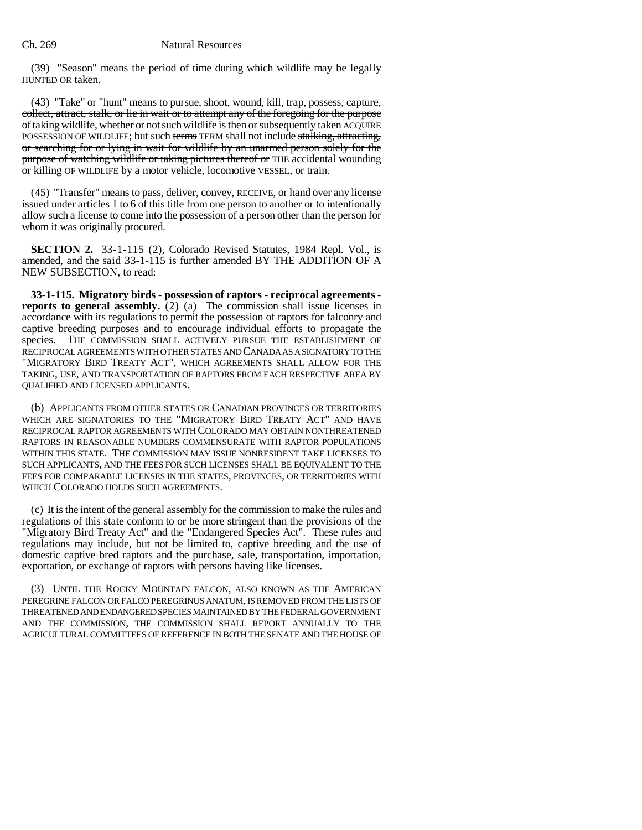(39) "Season" means the period of time during which wildlife may be legally HUNTED OR taken.

(43) "Take" or "hunt" means to pursue, shoot, wound, kill, trap, possess, capture, collect, attract, stalk, or lie in wait or to attempt any of the foregoing for the purpose of taking wildlife, whether or not such wildlife is then or subsequently taken ACQUIRE POSSESSION OF WILDLIFE; but such terms TERM shall not include stalking, attracting, or searching for or lying in wait for wildlife by an unarmed person solely for the purpose of watching wildlife or taking pictures thereof or THE accidental wounding or killing OF WILDLIFE by a motor vehicle, locomotive VESSEL, or train.

(45) "Transfer" means to pass, deliver, convey, RECEIVE, or hand over any license issued under articles 1 to 6 of this title from one person to another or to intentionally allow such a license to come into the possession of a person other than the person for whom it was originally procured.

**SECTION 2.** 33-1-115 (2), Colorado Revised Statutes, 1984 Repl. Vol., is amended, and the said 33-1-115 is further amended BY THE ADDITION OF A NEW SUBSECTION, to read:

**33-1-115. Migratory birds - possession of raptors - reciprocal agreements reports to general assembly.** (2) (a) The commission shall issue licenses in accordance with its regulations to permit the possession of raptors for falconry and captive breeding purposes and to encourage individual efforts to propagate the species. THE COMMISSION SHALL ACTIVELY PURSUE THE ESTABLISHMENT OF RECIPROCAL AGREEMENTS WITH OTHER STATES AND CANADA AS A SIGNATORY TO THE "MIGRATORY BIRD TREATY ACT", WHICH AGREEMENTS SHALL ALLOW FOR THE TAKING, USE, AND TRANSPORTATION OF RAPTORS FROM EACH RESPECTIVE AREA BY QUALIFIED AND LICENSED APPLICANTS.

(b) APPLICANTS FROM OTHER STATES OR CANADIAN PROVINCES OR TERRITORIES WHICH ARE SIGNATORIES TO THE "MIGRATORY BIRD TREATY ACT" AND HAVE RECIPROCAL RAPTOR AGREEMENTS WITH COLORADO MAY OBTAIN NONTHREATENED RAPTORS IN REASONABLE NUMBERS COMMENSURATE WITH RAPTOR POPULATIONS WITHIN THIS STATE. THE COMMISSION MAY ISSUE NONRESIDENT TAKE LICENSES TO SUCH APPLICANTS, AND THE FEES FOR SUCH LICENSES SHALL BE EQUIVALENT TO THE FEES FOR COMPARABLE LICENSES IN THE STATES, PROVINCES, OR TERRITORIES WITH WHICH COLORADO HOLDS SUCH AGREEMENTS.

(c) It is the intent of the general assembly for the commission to make the rules and regulations of this state conform to or be more stringent than the provisions of the "Migratory Bird Treaty Act" and the "Endangered Species Act". These rules and regulations may include, but not be limited to, captive breeding and the use of domestic captive bred raptors and the purchase, sale, transportation, importation, exportation, or exchange of raptors with persons having like licenses.

(3) UNTIL THE ROCKY MOUNTAIN FALCON, ALSO KNOWN AS THE AMERICAN PEREGRINE FALCON OR FALCO PEREGRINUS ANATUM, IS REMOVED FROM THE LISTS OF THREATENED AND ENDANGERED SPECIES MAINTAINED BY THE FEDERAL GOVERNMENT AND THE COMMISSION, THE COMMISSION SHALL REPORT ANNUALLY TO THE AGRICULTURAL COMMITTEES OF REFERENCE IN BOTH THE SENATE AND THE HOUSE OF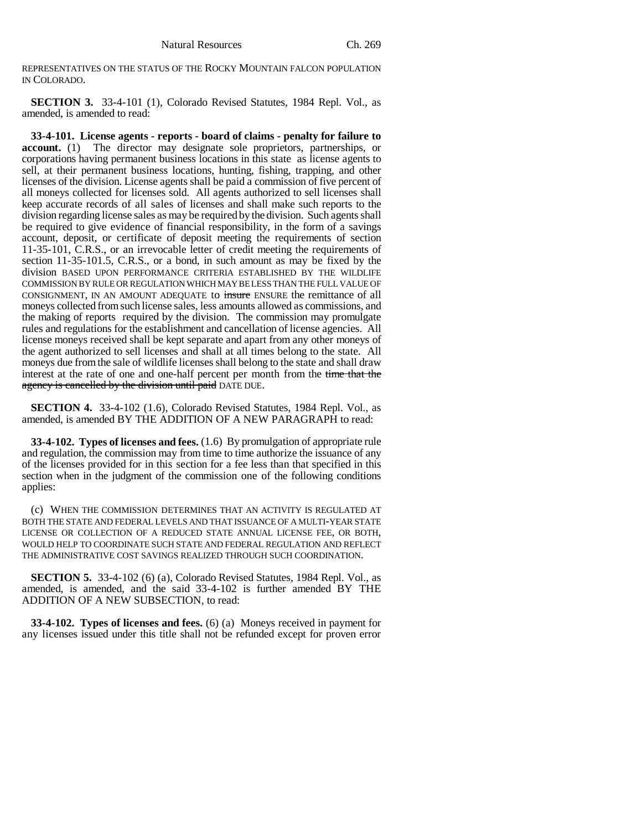REPRESENTATIVES ON THE STATUS OF THE ROCKY MOUNTAIN FALCON POPULATION IN COLORADO.

**SECTION 3.** 33-4-101 (1), Colorado Revised Statutes, 1984 Repl. Vol., as amended, is amended to read:

**33-4-101. License agents - reports - board of claims - penalty for failure to account.** (1) The director may designate sole proprietors, partnerships, or corporations having permanent business locations in this state as license agents to sell, at their permanent business locations, hunting, fishing, trapping, and other licenses of the division. License agents shall be paid a commission of five percent of all moneys collected for licenses sold. All agents authorized to sell licenses shall keep accurate records of all sales of licenses and shall make such reports to the division regarding license sales as may be required by the division. Such agents shall be required to give evidence of financial responsibility, in the form of a savings account, deposit, or certificate of deposit meeting the requirements of section 11-35-101, C.R.S., or an irrevocable letter of credit meeting the requirements of section 11-35-101.5, C.R.S., or a bond, in such amount as may be fixed by the division BASED UPON PERFORMANCE CRITERIA ESTABLISHED BY THE WILDLIFE COMMISSION BY RULE OR REGULATION WHICH MAY BE LESS THAN THE FULL VALUE OF CONSIGNMENT, IN AN AMOUNT ADEQUATE to insure ENSURE the remittance of all moneys collected from such license sales, less amounts allowed as commissions, and the making of reports required by the division. The commission may promulgate rules and regulations for the establishment and cancellation of license agencies. All license moneys received shall be kept separate and apart from any other moneys of the agent authorized to sell licenses and shall at all times belong to the state. All moneys due from the sale of wildlife licenses shall belong to the state and shall draw interest at the rate of one and one-half percent per month from the time that the agency is cancelled by the division until paid DATE DUE.

**SECTION 4.** 33-4-102 (1.6), Colorado Revised Statutes, 1984 Repl. Vol., as amended, is amended BY THE ADDITION OF A NEW PARAGRAPH to read:

**33-4-102. Types of licenses and fees.** (1.6) By promulgation of appropriate rule and regulation, the commission may from time to time authorize the issuance of any of the licenses provided for in this section for a fee less than that specified in this section when in the judgment of the commission one of the following conditions applies:

(c) WHEN THE COMMISSION DETERMINES THAT AN ACTIVITY IS REGULATED AT BOTH THE STATE AND FEDERAL LEVELS AND THAT ISSUANCE OF A MULTI-YEAR STATE LICENSE OR COLLECTION OF A REDUCED STATE ANNUAL LICENSE FEE, OR BOTH, WOULD HELP TO COORDINATE SUCH STATE AND FEDERAL REGULATION AND REFLECT THE ADMINISTRATIVE COST SAVINGS REALIZED THROUGH SUCH COORDINATION.

**SECTION 5.** 33-4-102 (6) (a), Colorado Revised Statutes, 1984 Repl. Vol., as amended, is amended, and the said 33-4-102 is further amended BY THE ADDITION OF A NEW SUBSECTION, to read:

**33-4-102. Types of licenses and fees.** (6) (a) Moneys received in payment for any licenses issued under this title shall not be refunded except for proven error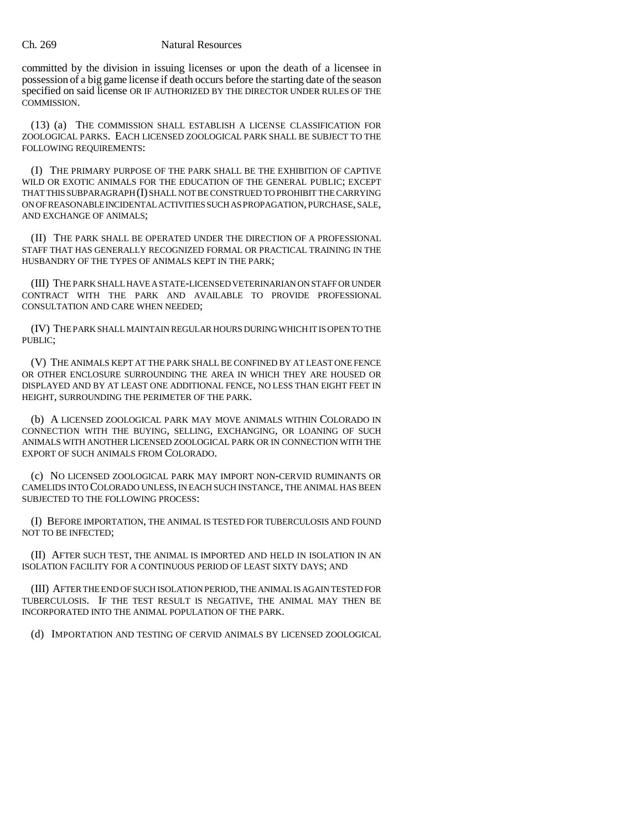committed by the division in issuing licenses or upon the death of a licensee in possession of a big game license if death occurs before the starting date of the season specified on said license OR IF AUTHORIZED BY THE DIRECTOR UNDER RULES OF THE COMMISSION.

(13) (a) THE COMMISSION SHALL ESTABLISH A LICENSE CLASSIFICATION FOR ZOOLOGICAL PARKS. EACH LICENSED ZOOLOGICAL PARK SHALL BE SUBJECT TO THE FOLLOWING REQUIREMENTS:

(I) THE PRIMARY PURPOSE OF THE PARK SHALL BE THE EXHIBITION OF CAPTIVE WILD OR EXOTIC ANIMALS FOR THE EDUCATION OF THE GENERAL PUBLIC; EXCEPT THAT THIS SUBPARAGRAPH (I) SHALL NOT BE CONSTRUED TO PROHIBIT THE CARRYING ON OF REASONABLE INCIDENTAL ACTIVITIES SUCH AS PROPAGATION, PURCHASE, SALE, AND EXCHANGE OF ANIMALS;

(II) THE PARK SHALL BE OPERATED UNDER THE DIRECTION OF A PROFESSIONAL STAFF THAT HAS GENERALLY RECOGNIZED FORMAL OR PRACTICAL TRAINING IN THE HUSBANDRY OF THE TYPES OF ANIMALS KEPT IN THE PARK;

(III) THE PARK SHALL HAVE A STATE-LICENSED VETERINARIAN ON STAFF OR UNDER CONTRACT WITH THE PARK AND AVAILABLE TO PROVIDE PROFESSIONAL CONSULTATION AND CARE WHEN NEEDED;

(IV) THE PARK SHALL MAINTAIN REGULAR HOURS DURING WHICH IT IS OPEN TO THE PUBLIC;

(V) THE ANIMALS KEPT AT THE PARK SHALL BE CONFINED BY AT LEAST ONE FENCE OR OTHER ENCLOSURE SURROUNDING THE AREA IN WHICH THEY ARE HOUSED OR DISPLAYED AND BY AT LEAST ONE ADDITIONAL FENCE, NO LESS THAN EIGHT FEET IN HEIGHT, SURROUNDING THE PERIMETER OF THE PARK.

(b) A LICENSED ZOOLOGICAL PARK MAY MOVE ANIMALS WITHIN COLORADO IN CONNECTION WITH THE BUYING, SELLING, EXCHANGING, OR LOANING OF SUCH ANIMALS WITH ANOTHER LICENSED ZOOLOGICAL PARK OR IN CONNECTION WITH THE EXPORT OF SUCH ANIMALS FROM COLORADO.

(c) NO LICENSED ZOOLOGICAL PARK MAY IMPORT NON-CERVID RUMINANTS OR CAMELIDS INTO COLORADO UNLESS, IN EACH SUCH INSTANCE, THE ANIMAL HAS BEEN SUBJECTED TO THE FOLLOWING PROCESS:

(I) BEFORE IMPORTATION, THE ANIMAL IS TESTED FOR TUBERCULOSIS AND FOUND NOT TO BE INFECTED;

(II) AFTER SUCH TEST, THE ANIMAL IS IMPORTED AND HELD IN ISOLATION IN AN ISOLATION FACILITY FOR A CONTINUOUS PERIOD OF LEAST SIXTY DAYS; AND

(III) AFTER THE END OF SUCH ISOLATION PERIOD, THE ANIMAL IS AGAIN TESTED FOR TUBERCULOSIS. IF THE TEST RESULT IS NEGATIVE, THE ANIMAL MAY THEN BE INCORPORATED INTO THE ANIMAL POPULATION OF THE PARK.

(d) IMPORTATION AND TESTING OF CERVID ANIMALS BY LICENSED ZOOLOGICAL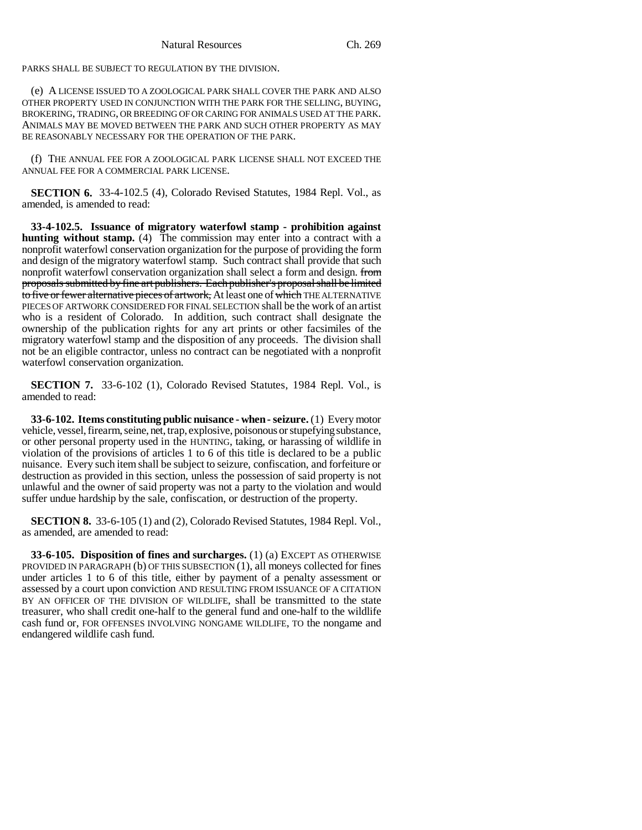PARKS SHALL BE SUBJECT TO REGULATION BY THE DIVISION.

(e) A LICENSE ISSUED TO A ZOOLOGICAL PARK SHALL COVER THE PARK AND ALSO OTHER PROPERTY USED IN CONJUNCTION WITH THE PARK FOR THE SELLING, BUYING, BROKERING, TRADING, OR BREEDING OF OR CARING FOR ANIMALS USED AT THE PARK. ANIMALS MAY BE MOVED BETWEEN THE PARK AND SUCH OTHER PROPERTY AS MAY BE REASONABLY NECESSARY FOR THE OPERATION OF THE PARK.

(f) THE ANNUAL FEE FOR A ZOOLOGICAL PARK LICENSE SHALL NOT EXCEED THE ANNUAL FEE FOR A COMMERCIAL PARK LICENSE.

**SECTION 6.** 33-4-102.5 (4), Colorado Revised Statutes, 1984 Repl. Vol., as amended, is amended to read:

**33-4-102.5. Issuance of migratory waterfowl stamp - prohibition against hunting without stamp.** (4) The commission may enter into a contract with a nonprofit waterfowl conservation organization for the purpose of providing the form and design of the migratory waterfowl stamp. Such contract shall provide that such nonprofit waterfowl conservation organization shall select a form and design. from proposals submitted by fine art publishers. Each publisher's proposal shall be limited to five or fewer alternative pieces of artwork, At least one of which THE ALTERNATIVE PIECES OF ARTWORK CONSIDERED FOR FINAL SELECTION shall be the work of an artist who is a resident of Colorado. In addition, such contract shall designate the ownership of the publication rights for any art prints or other facsimiles of the migratory waterfowl stamp and the disposition of any proceeds. The division shall not be an eligible contractor, unless no contract can be negotiated with a nonprofit waterfowl conservation organization.

**SECTION 7.** 33-6-102 (1), Colorado Revised Statutes, 1984 Repl. Vol., is amended to read:

**33-6-102. Items constituting public nuisance - when - seizure.** (1) Every motor vehicle, vessel, firearm, seine, net, trap, explosive, poisonous or stupefying substance, or other personal property used in the HUNTING, taking, or harassing of wildlife in violation of the provisions of articles 1 to 6 of this title is declared to be a public nuisance. Every such item shall be subject to seizure, confiscation, and forfeiture or destruction as provided in this section, unless the possession of said property is not unlawful and the owner of said property was not a party to the violation and would suffer undue hardship by the sale, confiscation, or destruction of the property.

**SECTION 8.** 33-6-105 (1) and (2), Colorado Revised Statutes, 1984 Repl. Vol., as amended, are amended to read:

**33-6-105. Disposition of fines and surcharges.** (1) (a) EXCEPT AS OTHERWISE PROVIDED IN PARAGRAPH (b) OF THIS SUBSECTION (1), all moneys collected for fines under articles 1 to 6 of this title, either by payment of a penalty assessment or assessed by a court upon conviction AND RESULTING FROM ISSUANCE OF A CITATION BY AN OFFICER OF THE DIVISION OF WILDLIFE, shall be transmitted to the state treasurer, who shall credit one-half to the general fund and one-half to the wildlife cash fund or, FOR OFFENSES INVOLVING NONGAME WILDLIFE, TO the nongame and endangered wildlife cash fund.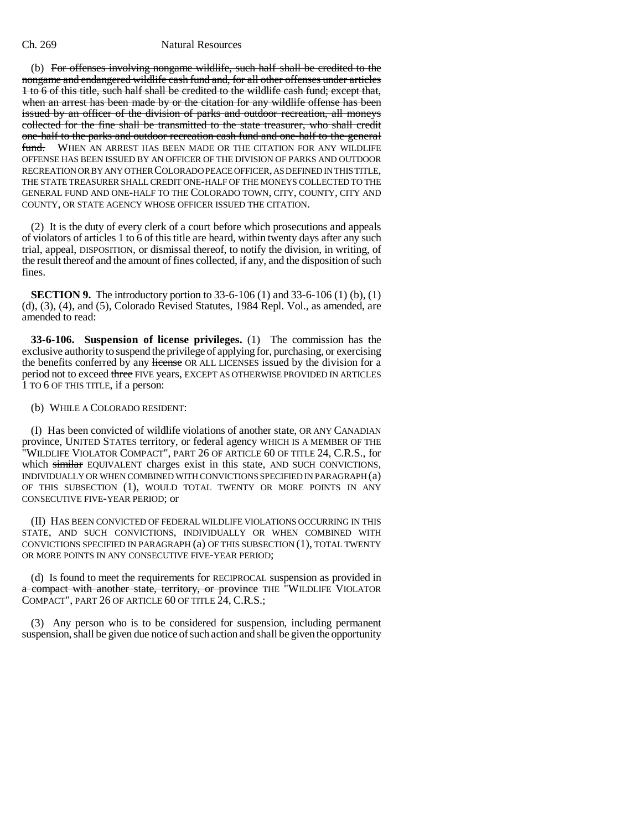(b) For offenses involving nongame wildlife, such half shall be credited to the nongame and endangered wildlife cash fund and, for all other offenses under articles 1 to 6 of this title, such half shall be credited to the wildlife cash fund; except that, when an arrest has been made by or the citation for any wildlife offense has been issued by an officer of the division of parks and outdoor recreation, all moneys collected for the fine shall be transmitted to the state treasurer, who shall credit one-half to the parks and outdoor recreation cash fund and one-half to the general fund. WHEN AN ARREST HAS BEEN MADE OR THE CITATION FOR ANY WILDLIFE OFFENSE HAS BEEN ISSUED BY AN OFFICER OF THE DIVISION OF PARKS AND OUTDOOR RECREATION OR BY ANY OTHER COLORADO PEACE OFFICER, AS DEFINED IN THIS TITLE, THE STATE TREASURER SHALL CREDIT ONE-HALF OF THE MONEYS COLLECTED TO THE GENERAL FUND AND ONE-HALF TO THE COLORADO TOWN, CITY, COUNTY, CITY AND COUNTY, OR STATE AGENCY WHOSE OFFICER ISSUED THE CITATION.

(2) It is the duty of every clerk of a court before which prosecutions and appeals of violators of articles 1 to 6 of this title are heard, within twenty days after any such trial, appeal, DISPOSITION, or dismissal thereof, to notify the division, in writing, of the result thereof and the amount of fines collected, if any, and the disposition of such fines.

**SECTION 9.** The introductory portion to 33-6-106 (1) and 33-6-106 (1) (b), (1) (d), (3), (4), and (5), Colorado Revised Statutes, 1984 Repl. Vol., as amended, are amended to read:

**33-6-106. Suspension of license privileges.** (1) The commission has the exclusive authority to suspend the privilege of applying for, purchasing, or exercising the benefits conferred by any license OR ALL LICENSES issued by the division for a period not to exceed three FIVE years, EXCEPT AS OTHERWISE PROVIDED IN ARTICLES 1 TO 6 OF THIS TITLE, if a person:

#### (b) WHILE A COLORADO RESIDENT:

(I) Has been convicted of wildlife violations of another state, OR ANY CANADIAN province, UNITED STATES territory, or federal agency WHICH IS A MEMBER OF THE "WILDLIFE VIOLATOR COMPACT", PART 26 OF ARTICLE 60 OF TITLE 24, C.R.S., for which similar EQUIVALENT charges exist in this state, AND SUCH CONVICTIONS, INDIVIDUALLY OR WHEN COMBINED WITH CONVICTIONS SPECIFIED IN PARAGRAPH (a) OF THIS SUBSECTION (1), WOULD TOTAL TWENTY OR MORE POINTS IN ANY CONSECUTIVE FIVE-YEAR PERIOD; or

(II) HAS BEEN CONVICTED OF FEDERAL WILDLIFE VIOLATIONS OCCURRING IN THIS STATE, AND SUCH CONVICTIONS, INDIVIDUALLY OR WHEN COMBINED WITH CONVICTIONS SPECIFIED IN PARAGRAPH (a) OF THIS SUBSECTION (1), TOTAL TWENTY OR MORE POINTS IN ANY CONSECUTIVE FIVE-YEAR PERIOD;

(d) Is found to meet the requirements for RECIPROCAL suspension as provided in a compact with another state, territory, or province THE "WILDLIFE VIOLATOR COMPACT", PART 26 OF ARTICLE 60 OF TITLE 24, C.R.S.;

(3) Any person who is to be considered for suspension, including permanent suspension, shall be given due notice of such action and shall be given the opportunity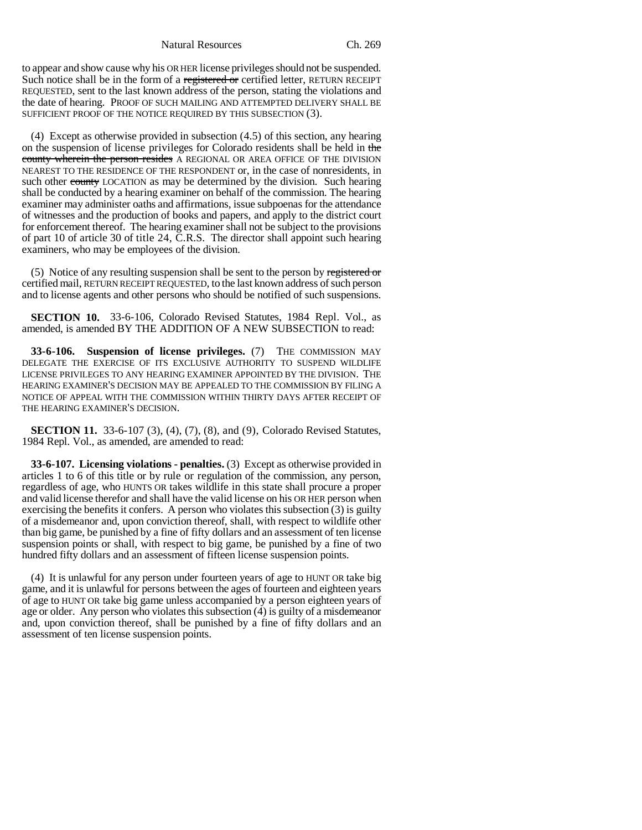Natural Resources Ch. 269

to appear and show cause why his OR HER license privileges should not be suspended. Such notice shall be in the form of a registered or certified letter, RETURN RECEIPT REQUESTED, sent to the last known address of the person, stating the violations and the date of hearing. PROOF OF SUCH MAILING AND ATTEMPTED DELIVERY SHALL BE SUFFICIENT PROOF OF THE NOTICE REQUIRED BY THIS SUBSECTION (3).

(4) Except as otherwise provided in subsection (4.5) of this section, any hearing on the suspension of license privileges for Colorado residents shall be held in the county wherein the person resides A REGIONAL OR AREA OFFICE OF THE DIVISION NEAREST TO THE RESIDENCE OF THE RESPONDENT or, in the case of nonresidents, in such other county LOCATION as may be determined by the division. Such hearing shall be conducted by a hearing examiner on behalf of the commission. The hearing examiner may administer oaths and affirmations, issue subpoenas for the attendance of witnesses and the production of books and papers, and apply to the district court for enforcement thereof. The hearing examiner shall not be subject to the provisions of part 10 of article 30 of title 24, C.R.S. The director shall appoint such hearing examiners, who may be employees of the division.

(5) Notice of any resulting suspension shall be sent to the person by registered or certified mail, RETURN RECEIPT REQUESTED, to the last known address of such person and to license agents and other persons who should be notified of such suspensions.

**SECTION 10.** 33-6-106, Colorado Revised Statutes, 1984 Repl. Vol., as amended, is amended BY THE ADDITION OF A NEW SUBSECTION to read:

**33-6-106. Suspension of license privileges.** (7) THE COMMISSION MAY DELEGATE THE EXERCISE OF ITS EXCLUSIVE AUTHORITY TO SUSPEND WILDLIFE LICENSE PRIVILEGES TO ANY HEARING EXAMINER APPOINTED BY THE DIVISION. THE HEARING EXAMINER'S DECISION MAY BE APPEALED TO THE COMMISSION BY FILING A NOTICE OF APPEAL WITH THE COMMISSION WITHIN THIRTY DAYS AFTER RECEIPT OF THE HEARING EXAMINER'S DECISION.

**SECTION 11.** 33-6-107 (3), (4), (7), (8), and (9), Colorado Revised Statutes, 1984 Repl. Vol., as amended, are amended to read:

**33-6-107. Licensing violations - penalties.** (3) Except as otherwise provided in articles 1 to 6 of this title or by rule or regulation of the commission, any person, regardless of age, who HUNTS OR takes wildlife in this state shall procure a proper and valid license therefor and shall have the valid license on his OR HER person when exercising the benefits it confers. A person who violates this subsection (3) is guilty of a misdemeanor and, upon conviction thereof, shall, with respect to wildlife other than big game, be punished by a fine of fifty dollars and an assessment of ten license suspension points or shall, with respect to big game, be punished by a fine of two hundred fifty dollars and an assessment of fifteen license suspension points.

(4) It is unlawful for any person under fourteen years of age to HUNT OR take big game, and it is unlawful for persons between the ages of fourteen and eighteen years of age to HUNT OR take big game unless accompanied by a person eighteen years of age or older. Any person who violates this subsection (4) is guilty of a misdemeanor and, upon conviction thereof, shall be punished by a fine of fifty dollars and an assessment of ten license suspension points.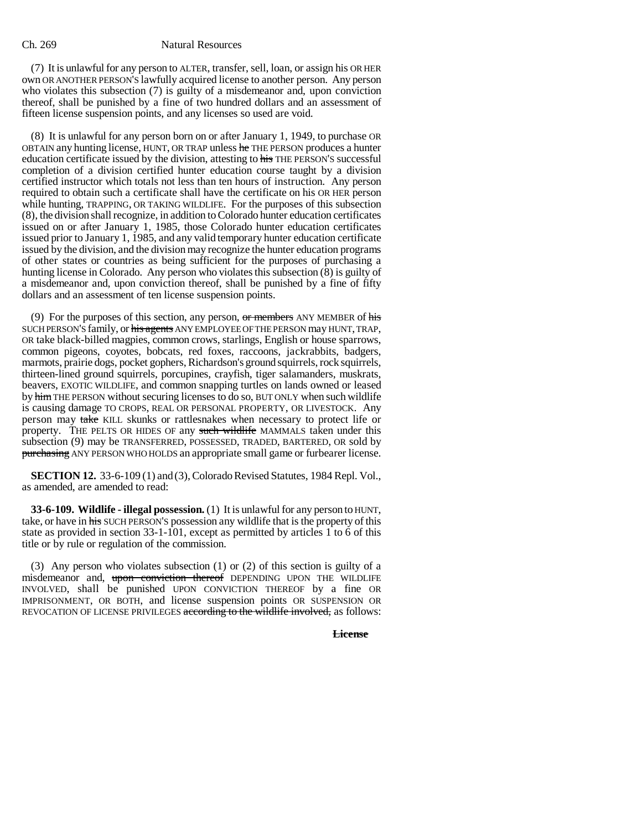(7) It is unlawful for any person to ALTER, transfer, sell, loan, or assign his OR HER own OR ANOTHER PERSON'S lawfully acquired license to another person. Any person who violates this subsection (7) is guilty of a misdemeanor and, upon conviction thereof, shall be punished by a fine of two hundred dollars and an assessment of fifteen license suspension points, and any licenses so used are void.

(8) It is unlawful for any person born on or after January 1, 1949, to purchase OR OBTAIN any hunting license, HUNT, OR TRAP unless he THE PERSON produces a hunter education certificate issued by the division, attesting to his THE PERSON'S successful completion of a division certified hunter education course taught by a division certified instructor which totals not less than ten hours of instruction. Any person required to obtain such a certificate shall have the certificate on his OR HER person while hunting, TRAPPING, OR TAKING WILDLIFE. For the purposes of this subsection (8), the division shall recognize, in addition to Colorado hunter education certificates issued on or after January 1, 1985, those Colorado hunter education certificates issued prior to January 1, 1985, and any valid temporary hunter education certificate issued by the division, and the division may recognize the hunter education programs of other states or countries as being sufficient for the purposes of purchasing a hunting license in Colorado. Any person who violates this subsection  $(\bar{8})$  is guilty of a misdemeanor and, upon conviction thereof, shall be punished by a fine of fifty dollars and an assessment of ten license suspension points.

(9) For the purposes of this section, any person,  $\sigma r$  members ANY MEMBER of his SUCH PERSON'S family, or his agents ANY EMPLOYEE OF THE PERSON may HUNT, TRAP, OR take black-billed magpies, common crows, starlings, English or house sparrows, common pigeons, coyotes, bobcats, red foxes, raccoons, jackrabbits, badgers, marmots, prairie dogs, pocket gophers, Richardson's ground squirrels, rock squirrels, thirteen-lined ground squirrels, porcupines, crayfish, tiger salamanders, muskrats, beavers, EXOTIC WILDLIFE, and common snapping turtles on lands owned or leased by him THE PERSON without securing licenses to do so, BUT ONLY when such wildlife is causing damage TO CROPS, REAL OR PERSONAL PROPERTY, OR LIVESTOCK. Any person may take KILL skunks or rattlesnakes when necessary to protect life or property. THE PELTS OR HIDES OF any such wildlife MAMMALS taken under this subsection (9) may be TRANSFERRED, POSSESSED, TRADED, BARTERED, OR sold by purchasing ANY PERSON WHO HOLDS an appropriate small game or furbearer license.

**SECTION 12.** 33-6-109 (1) and (3), Colorado Revised Statutes, 1984 Repl. Vol., as amended, are amended to read:

**33-6-109. Wildlife - illegal possession.** (1) It is unlawful for any person to HUNT, take, or have in his SUCH PERSON'S possession any wildlife that is the property of this state as provided in section 33-1-101, except as permitted by articles 1 to 6 of this title or by rule or regulation of the commission.

(3) Any person who violates subsection (1) or (2) of this section is guilty of a misdemeanor and, upon conviction thereof DEPENDING UPON THE WILDLIFE INVOLVED, shall be punished UPON CONVICTION THEREOF by a fine OR IMPRISONMENT, OR BOTH, and license suspension points OR SUSPENSION OR REVOCATION OF LICENSE PRIVILEGES according to the wildlife involved, as follows:

**License**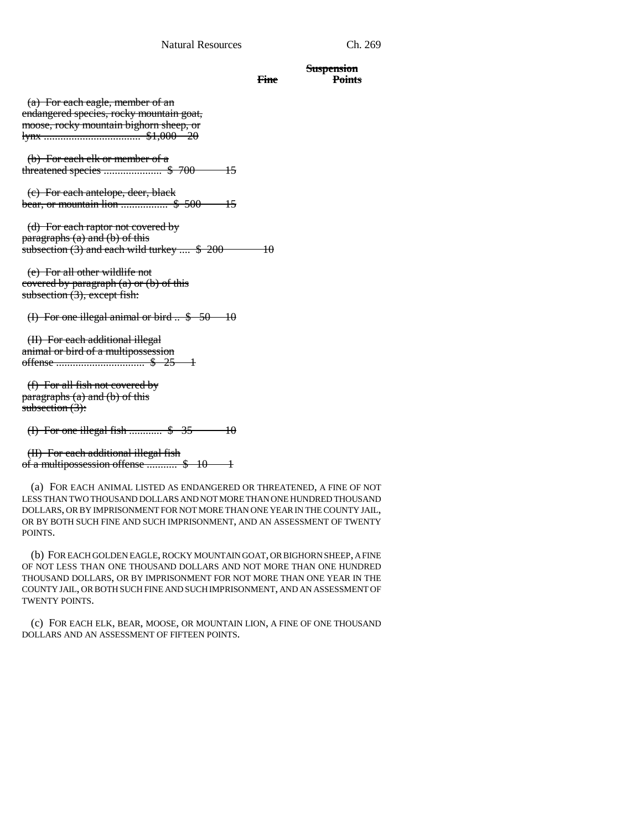#### Natural Resources Ch. 269

## **Fine Points**

**Suspension**

 (a) For each eagle, member of an endangered species, rocky mountain goat, moose, rocky mountain bighorn sheep, or lynx ................................... \$1,000 20

 (b) For each elk or member of a threatened species ..................... \$ 700 15

 (c) For each antelope, deer, black bear, or mountain lion ................. \$ 500 15

 (d) For each raptor not covered by paragraphs (a) and (b) of this subsection (3) and each wild turkey  $\ldots$  \$ 200  $\ldots$  10

 (e) For all other wildlife not covered by paragraph  $(a)$  or  $(b)$  of this subsection (3), except fish:

(I) For one illegal animal or bird  $\therefore$  \$ 50 10

 (II) For each additional illegal animal or bird of a multipossession offense ................................ \$ 25 1

 (f) For all fish not covered by paragraphs  $(a)$  and  $(b)$  of this subsection (3):

(I) For one illegal fish  $\ldots$  \$ 35 10

 (II) For each additional illegal fish of a multipossession offense ........... \$ 10 1

(a) FOR EACH ANIMAL LISTED AS ENDANGERED OR THREATENED, A FINE OF NOT LESS THAN TWO THOUSAND DOLLARS AND NOT MORE THAN ONE HUNDRED THOUSAND DOLLARS, OR BY IMPRISONMENT FOR NOT MORE THAN ONE YEAR IN THE COUNTY JAIL, OR BY BOTH SUCH FINE AND SUCH IMPRISONMENT, AND AN ASSESSMENT OF TWENTY POINTS.

(b) FOR EACH GOLDEN EAGLE, ROCKY MOUNTAIN GOAT, OR BIGHORN SHEEP, A FINE OF NOT LESS THAN ONE THOUSAND DOLLARS AND NOT MORE THAN ONE HUNDRED THOUSAND DOLLARS, OR BY IMPRISONMENT FOR NOT MORE THAN ONE YEAR IN THE COUNTY JAIL, OR BOTH SUCH FINE AND SUCH IMPRISONMENT, AND AN ASSESSMENT OF TWENTY POINTS.

(c) FOR EACH ELK, BEAR, MOOSE, OR MOUNTAIN LION, A FINE OF ONE THOUSAND DOLLARS AND AN ASSESSMENT OF FIFTEEN POINTS.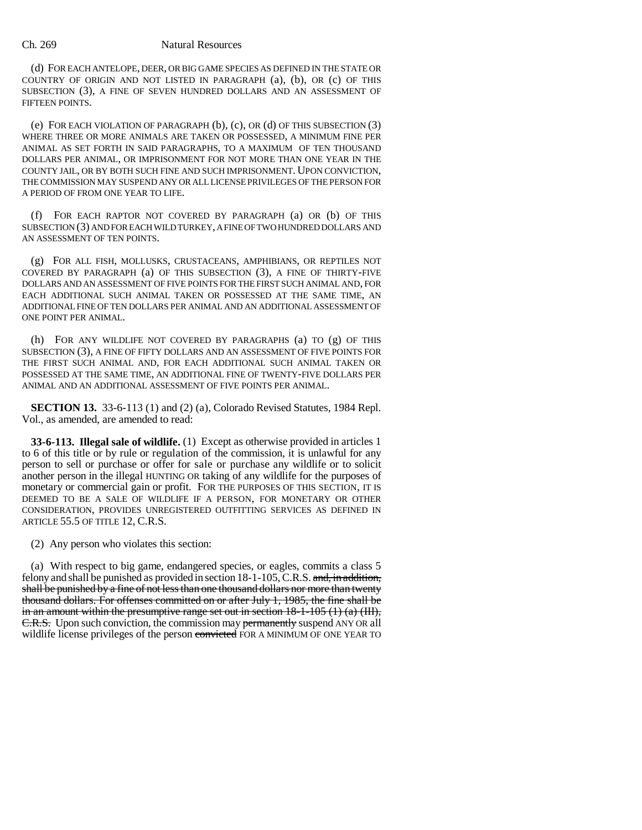(d) FOR EACH ANTELOPE, DEER, OR BIG GAME SPECIES AS DEFINED IN THE STATE OR COUNTRY OF ORIGIN AND NOT LISTED IN PARAGRAPH (a), (b), OR (c) OF THIS SUBSECTION (3), A FINE OF SEVEN HUNDRED DOLLARS AND AN ASSESSMENT OF FIFTEEN POINTS.

(e) FOR EACH VIOLATION OF PARAGRAPH (b), (c), OR (d) OF THIS SUBSECTION (3) WHERE THREE OR MORE ANIMALS ARE TAKEN OR POSSESSED, A MINIMUM FINE PER ANIMAL AS SET FORTH IN SAID PARAGRAPHS, TO A MAXIMUM OF TEN THOUSAND DOLLARS PER ANIMAL, OR IMPRISONMENT FOR NOT MORE THAN ONE YEAR IN THE COUNTY JAIL, OR BY BOTH SUCH FINE AND SUCH IMPRISONMENT. UPON CONVICTION, THE COMMISSION MAY SUSPEND ANY OR ALL LICENSE PRIVILEGES OF THE PERSON FOR A PERIOD OF FROM ONE YEAR TO LIFE.

(f) FOR EACH RAPTOR NOT COVERED BY PARAGRAPH (a) OR (b) OF THIS SUBSECTION (3) AND FOR EACH WILD TURKEY, A FINE OF TWO HUNDRED DOLLARS AND AN ASSESSMENT OF TEN POINTS.

(g) FOR ALL FISH, MOLLUSKS, CRUSTACEANS, AMPHIBIANS, OR REPTILES NOT COVERED BY PARAGRAPH (a) OF THIS SUBSECTION (3), A FINE OF THIRTY-FIVE DOLLARS AND AN ASSESSMENT OF FIVE POINTS FOR THE FIRST SUCH ANIMAL AND, FOR EACH ADDITIONAL SUCH ANIMAL TAKEN OR POSSESSED AT THE SAME TIME, AN ADDITIONAL FINE OF TEN DOLLARS PER ANIMAL AND AN ADDITIONAL ASSESSMENT OF ONE POINT PER ANIMAL.

(h) FOR ANY WILDLIFE NOT COVERED BY PARAGRAPHS (a) TO (g) OF THIS SUBSECTION (3), A FINE OF FIFTY DOLLARS AND AN ASSESSMENT OF FIVE POINTS FOR THE FIRST SUCH ANIMAL AND, FOR EACH ADDITIONAL SUCH ANIMAL TAKEN OR POSSESSED AT THE SAME TIME, AN ADDITIONAL FINE OF TWENTY-FIVE DOLLARS PER ANIMAL AND AN ADDITIONAL ASSESSMENT OF FIVE POINTS PER ANIMAL.

**SECTION 13.** 33-6-113 (1) and (2) (a), Colorado Revised Statutes, 1984 Repl. Vol., as amended, are amended to read:

**33-6-113. Illegal sale of wildlife.** (1) Except as otherwise provided in articles 1 to 6 of this title or by rule or regulation of the commission, it is unlawful for any person to sell or purchase or offer for sale or purchase any wildlife or to solicit another person in the illegal HUNTING OR taking of any wildlife for the purposes of monetary or commercial gain or profit. FOR THE PURPOSES OF THIS SECTION, IT IS DEEMED TO BE A SALE OF WILDLIFE IF A PERSON, FOR MONETARY OR OTHER CONSIDERATION, PROVIDES UNREGISTERED OUTFITTING SERVICES AS DEFINED IN ARTICLE 55.5 OF TITLE 12, C.R.S.

(2) Any person who violates this section:

(a) With respect to big game, endangered species, or eagles, commits a class 5 felony and shall be punished as provided in section  $18-1-105$ , C.R.S. and, in addition, shall be punished by a fine of not less than one thousand dollars nor more than twenty thousand dollars. For offenses committed on or after July 1, 1985, the fine shall be in an amount within the presumptive range set out in section  $18-1-105$  (1) (a) (III), E.R.S. Upon such conviction, the commission may permanently suspend ANY OR all wildlife license privileges of the person convicted FOR A MINIMUM OF ONE YEAR TO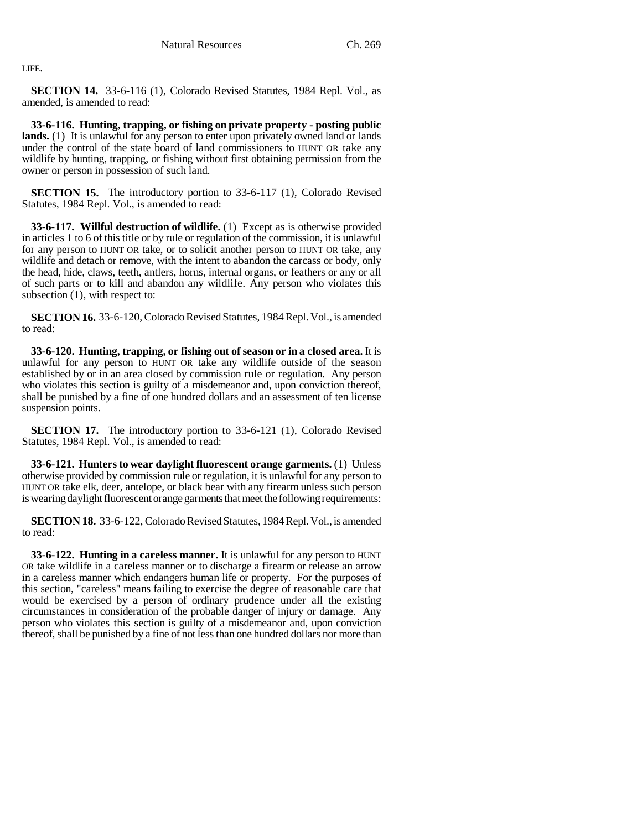LIFE.

**SECTION 14.** 33-6-116 (1), Colorado Revised Statutes, 1984 Repl. Vol., as amended, is amended to read:

**33-6-116. Hunting, trapping, or fishing on private property - posting public lands.** (1) It is unlawful for any person to enter upon privately owned land or lands under the control of the state board of land commissioners to HUNT OR take any wildlife by hunting, trapping, or fishing without first obtaining permission from the owner or person in possession of such land.

**SECTION 15.** The introductory portion to 33-6-117 (1), Colorado Revised Statutes, 1984 Repl. Vol., is amended to read:

**33-6-117. Willful destruction of wildlife.** (1) Except as is otherwise provided in articles 1 to 6 of this title or by rule or regulation of the commission, it is unlawful for any person to HUNT OR take, or to solicit another person to HUNT OR take, any wildlife and detach or remove, with the intent to abandon the carcass or body, only the head, hide, claws, teeth, antlers, horns, internal organs, or feathers or any or all of such parts or to kill and abandon any wildlife. Any person who violates this subsection (1), with respect to:

**SECTION 16.** 33-6-120, Colorado Revised Statutes, 1984 Repl. Vol., is amended to read:

**33-6-120. Hunting, trapping, or fishing out of season or in a closed area.** It is unlawful for any person to HUNT OR take any wildlife outside of the season established by or in an area closed by commission rule or regulation. Any person who violates this section is guilty of a misdemeanor and, upon conviction thereof, shall be punished by a fine of one hundred dollars and an assessment of ten license suspension points.

**SECTION 17.** The introductory portion to 33-6-121 (1), Colorado Revised Statutes, 1984 Repl. Vol., is amended to read:

**33-6-121. Hunters to wear daylight fluorescent orange garments.** (1) Unless otherwise provided by commission rule or regulation, it is unlawful for any person to HUNT OR take elk, deer, antelope, or black bear with any firearm unless such person is wearing daylight fluorescent orange garments that meet the following requirements:

**SECTION 18.** 33-6-122, Colorado Revised Statutes, 1984 Repl. Vol., is amended to read:

**33-6-122. Hunting in a careless manner.** It is unlawful for any person to HUNT OR take wildlife in a careless manner or to discharge a firearm or release an arrow in a careless manner which endangers human life or property. For the purposes of this section, "careless" means failing to exercise the degree of reasonable care that would be exercised by a person of ordinary prudence under all the existing circumstances in consideration of the probable danger of injury or damage. Any person who violates this section is guilty of a misdemeanor and, upon conviction thereof, shall be punished by a fine of not less than one hundred dollars nor more than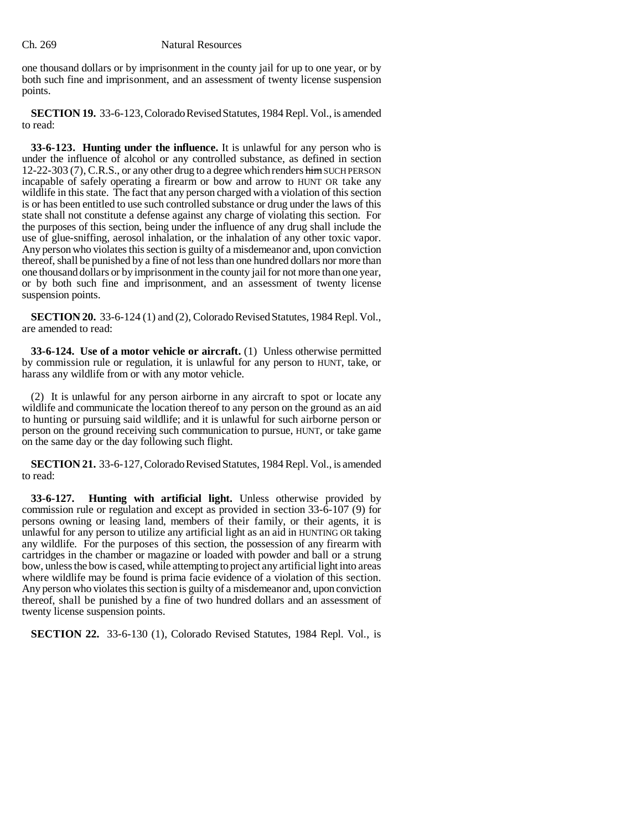one thousand dollars or by imprisonment in the county jail for up to one year, or by both such fine and imprisonment, and an assessment of twenty license suspension points.

**SECTION 19.** 33-6-123, Colorado Revised Statutes, 1984 Repl. Vol., is amended to read:

**33-6-123. Hunting under the influence.** It is unlawful for any person who is under the influence of alcohol or any controlled substance, as defined in section 12-22-303 (7), C.R.S., or any other drug to a degree which renders him SUCH PERSON incapable of safely operating a firearm or bow and arrow to HUNT OR take any wildlife in this state. The fact that any person charged with a violation of this section is or has been entitled to use such controlled substance or drug under the laws of this state shall not constitute a defense against any charge of violating this section. For the purposes of this section, being under the influence of any drug shall include the use of glue-sniffing, aerosol inhalation, or the inhalation of any other toxic vapor. Any person who violates this section is guilty of a misdemeanor and, upon conviction thereof, shall be punished by a fine of not less than one hundred dollars nor more than one thousand dollars or by imprisonment in the county jail for not more than one year, or by both such fine and imprisonment, and an assessment of twenty license suspension points.

**SECTION 20.** 33-6-124 (1) and (2), Colorado Revised Statutes, 1984 Repl. Vol., are amended to read:

**33-6-124. Use of a motor vehicle or aircraft.** (1) Unless otherwise permitted by commission rule or regulation, it is unlawful for any person to HUNT, take, or harass any wildlife from or with any motor vehicle.

(2) It is unlawful for any person airborne in any aircraft to spot or locate any wildlife and communicate the location thereof to any person on the ground as an aid to hunting or pursuing said wildlife; and it is unlawful for such airborne person or person on the ground receiving such communication to pursue, HUNT, or take game on the same day or the day following such flight.

**SECTION 21.** 33-6-127, Colorado Revised Statutes, 1984 Repl. Vol., is amended to read:

**33-6-127. Hunting with artificial light.** Unless otherwise provided by commission rule or regulation and except as provided in section 33-6-107 (9) for persons owning or leasing land, members of their family, or their agents, it is unlawful for any person to utilize any artificial light as an aid in HUNTING OR taking any wildlife. For the purposes of this section, the possession of any firearm with cartridges in the chamber or magazine or loaded with powder and ball or a strung bow, unless the bow is cased, while attempting to project any artificial light into areas where wildlife may be found is prima facie evidence of a violation of this section. Any person who violates this section is guilty of a misdemeanor and, upon conviction thereof, shall be punished by a fine of two hundred dollars and an assessment of twenty license suspension points.

**SECTION 22.** 33-6-130 (1), Colorado Revised Statutes, 1984 Repl. Vol., is